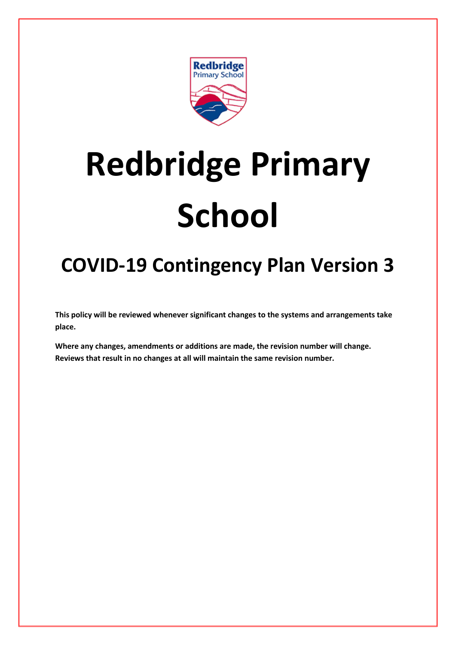

# **Redbridge Primary School**

## **COVID-19 Contingency Plan Version 3**

**This policy will be reviewed whenever significant changes to the systems and arrangements take place.**

**Where any changes, amendments or additions are made, the revision number will change. Reviews that result in no changes at all will maintain the same revision number.**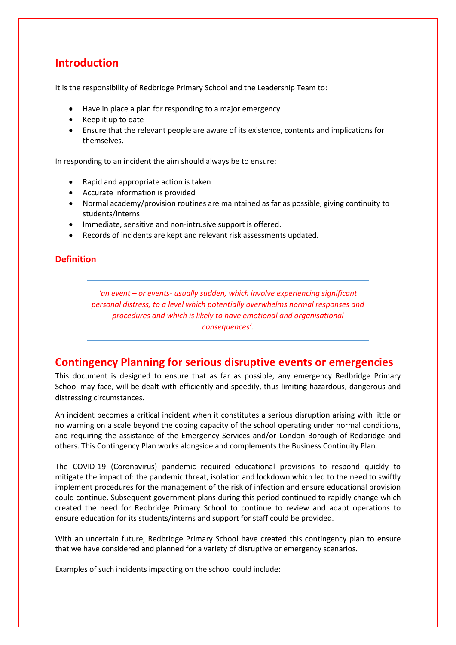## **Introduction**

It is the responsibility of Redbridge Primary School and the Leadership Team to:

- Have in place a plan for responding to a major emergency
- Keep it up to date
- Ensure that the relevant people are aware of its existence, contents and implications for themselves.

In responding to an incident the aim should always be to ensure:

- Rapid and appropriate action is taken
- Accurate information is provided
- Normal academy/provision routines are maintained as far as possible, giving continuity to students/interns
- Immediate, sensitive and non-intrusive support is offered.
- Records of incidents are kept and relevant risk assessments updated.

## **Definition**

*'an event – or events- usually sudden, which involve experiencing significant personal distress, to a level which potentially overwhelms normal responses and procedures and which is likely to have emotional and organisational consequences'.*

## **Contingency Planning for serious disruptive events or emergencies**

This document is designed to ensure that as far as possible, any emergency Redbridge Primary School may face, will be dealt with efficiently and speedily, thus limiting hazardous, dangerous and distressing circumstances.

An incident becomes a critical incident when it constitutes a serious disruption arising with little or no warning on a scale beyond the coping capacity of the school operating under normal conditions, and requiring the assistance of the Emergency Services and/or London Borough of Redbridge and others. This Contingency Plan works alongside and complements the Business Continuity Plan.

The COVID-19 (Coronavirus) pandemic required educational provisions to respond quickly to mitigate the impact of: the pandemic threat, isolation and lockdown which led to the need to swiftly implement procedures for the management of the risk of infection and ensure educational provision could continue. Subsequent government plans during this period continued to rapidly change which created the need for Redbridge Primary School to continue to review and adapt operations to ensure education for its students/interns and support for staff could be provided.

With an uncertain future, Redbridge Primary School have created this contingency plan to ensure that we have considered and planned for a variety of disruptive or emergency scenarios.

Examples of such incidents impacting on the school could include: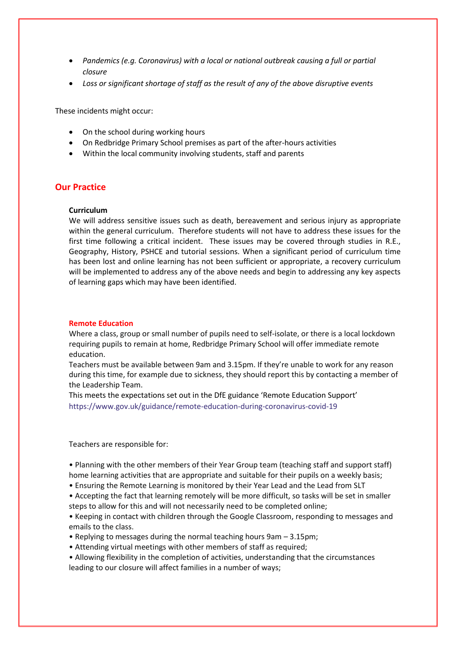- *Pandemics (e.g. Coronavirus) with a local or national outbreak causing a full or partial closure*
- *Loss or significant shortage of staff as the result of any of the above disruptive events*

These incidents might occur:

- On the school during working hours
- On Redbridge Primary School premises as part of the after-hours activities
- Within the local community involving students, staff and parents

## **Our Practice**

#### **Curriculum**

We will address sensitive issues such as death, bereavement and serious injury as appropriate within the general curriculum. Therefore students will not have to address these issues for the first time following a critical incident. These issues may be covered through studies in R.E., Geography, History, PSHCE and tutorial sessions. When a significant period of curriculum time has been lost and online learning has not been sufficient or appropriate, a recovery curriculum will be implemented to address any of the above needs and begin to addressing any key aspects of learning gaps which may have been identified.

#### **Remote Education**

Where a class, group or small number of pupils need to self-isolate, or there is a local lockdown requiring pupils to remain at home, Redbridge Primary School will offer immediate remote education.

Teachers must be available between 9am and 3.15pm. If they're unable to work for any reason during this time, for example due to sickness, they should report this by contacting a member of the Leadership Team.

This meets the expectations set out in the DfE guidance 'Remote Education Support' <https://www.gov.uk/guidance/remote-education-during-coronavirus-covid-19>

Teachers are responsible for:

• Planning with the other members of their Year Group team (teaching staff and support staff) home learning activities that are appropriate and suitable for their pupils on a weekly basis;

- Ensuring the Remote Learning is monitored by their Year Lead and the Lead from SLT
- Accepting the fact that learning remotely will be more difficult, so tasks will be set in smaller steps to allow for this and will not necessarily need to be completed online;

• Keeping in contact with children through the Google Classroom, responding to messages and emails to the class.

- Replying to messages during the normal teaching hours 9am 3.15pm;
- Attending virtual meetings with other members of staff as required;
- Allowing flexibility in the completion of activities, understanding that the circumstances leading to our closure will affect families in a number of ways;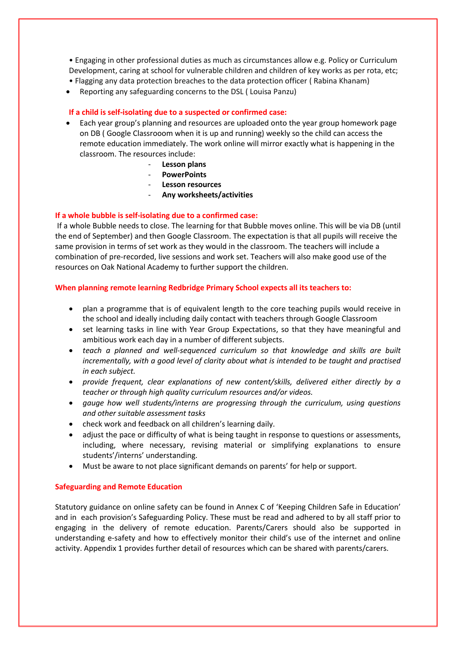• Engaging in other professional duties as much as circumstances allow e.g. Policy or Curriculum Development, caring at school for vulnerable children and children of key works as per rota, etc; • Flagging any data protection breaches to the data protection officer ( Rabina Khanam)

Reporting any safeguarding concerns to the DSL ( Louisa Panzu)

## **If a child is self-isolating due to a suspected or confirmed case:**

- Each year group's planning and resources are uploaded onto the year group homework page on DB ( Google Classrooom when it is up and running) weekly so the child can access the remote education immediately. The work online will mirror exactly what is happening in the classroom. The resources include:
	- **Lesson plans**
	- **PowerPoints**
	- **Lesson resources**
	- **Any worksheets/activities**

## **If a whole bubble is self-isolating due to a confirmed case:**

If a whole Bubble needs to close. The learning for that Bubble moves online. This will be via DB (until the end of September) and then Google Classroom. The expectation is that all pupils will receive the same provision in terms of set work as they would in the classroom. The teachers will include a combination of pre-recorded, live sessions and work set. Teachers will also make good use of the resources on Oak National Academy to further support the children.

## **When planning remote learning Redbridge Primary School expects all its teachers to:**

- plan a programme that is of equivalent length to the core teaching pupils would receive in the school and ideally including daily contact with teachers through Google Classroom
- set learning tasks in line with Year Group Expectations, so that they have meaningful and ambitious work each day in a number of different subjects.
- *teach a planned and well-sequenced curriculum so that knowledge and skills are built incrementally, with a good level of clarity about what is intended to be taught and practised in each subject.*
- *provide frequent, clear explanations of new content/skills, delivered either directly by a teacher or through high quality curriculum resources and/or videos.*
- *gauge how well students/interns are progressing through the curriculum, using questions and other suitable assessment tasks*
- check work and feedback on all children's learning daily.
- adjust the pace or difficulty of what is being taught in response to questions or assessments, including, where necessary, revising material or simplifying explanations to ensure students'/interns' understanding.
- Must be aware to not place significant demands on parents' for help or support.

## **Safeguarding and Remote Education**

Statutory guidance on online safety can be found in Annex C of 'Keeping Children Safe in Education' and in each provision's Safeguarding Policy. These must be read and adhered to by all staff prior to engaging in the delivery of remote education. Parents/Carers should also be supported in understanding e-safety and how to effectively monitor their child's use of the internet and online activity. Appendix 1 provides further detail of resources which can be shared with parents/carers.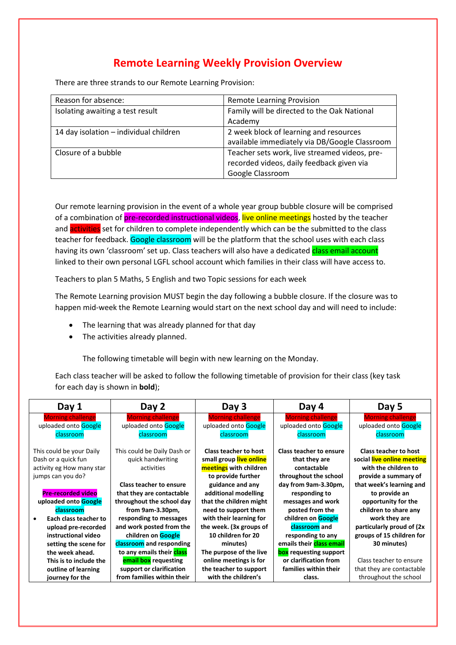## **Remote Learning Weekly Provision Overview**

There are three strands to our Remote Learning Provision:

| Reason for absence:                    | <b>Remote Learning Provision</b>              |
|----------------------------------------|-----------------------------------------------|
| Isolating awaiting a test result       | Family will be directed to the Oak National   |
|                                        | Academy                                       |
| 14 day isolation - individual children | 2 week block of learning and resources        |
|                                        | available immediately via DB/Google Classroom |
| Closure of a bubble                    | Teacher sets work, live streamed videos, pre- |
|                                        | recorded videos, daily feedback given via     |
|                                        | Google Classroom                              |

Our remote learning provision in the event of a whole year group bubble closure will be comprised of a combination of pre-recorded instructional videos, live online meetings hosted by the teacher and activities set for children to complete independently which can be the submitted to the class teacher for feedback. Google classroom will be the platform that the school uses with each class having its own 'classroom' set up. Class teachers will also have a dedicated class email account linked to their own personal LGFL school account which families in their class will have access to.

Teachers to plan 5 Maths, 5 English and two Topic sessions for each week

The Remote Learning provision MUST begin the day following a bubble closure. If the closure was to happen mid-week the Remote Learning would start on the next school day and will need to include:

- The learning that was already planned for that day
- The activities already planned.

The following timetable will begin with new learning on the Monday.

Each class teacher will be asked to follow the following timetable of provision for their class (key task for each day is shown in **bold**);

| Day 1                              | Day 2                          | Day 3                        | Day 4                    | Day 5                        |
|------------------------------------|--------------------------------|------------------------------|--------------------------|------------------------------|
| <b>Morning challenge</b>           | <b>Morning challenge</b>       | <b>Morning challenge</b>     | <b>Morning challenge</b> | <b>Morning challenge</b>     |
| uploaded onto Google               | uploaded onto Google           | uploaded onto Google         | uploaded onto Google     | uploaded onto Google         |
| classroom                          | classroom                      | classroom                    | classroom                | classroom                    |
|                                    |                                |                              |                          |                              |
| This could be your Daily           | This could be Daily Dash or    | <b>Class teacher to host</b> | Class teacher to ensure  | <b>Class teacher to host</b> |
| Dash or a quick fun                | quick handwriting              | small group live online      | that they are            | social live online meeting   |
| activity eg How many star          | activities                     | meetings with children       | contactable              | with the children to         |
| jumps can you do?                  |                                | to provide further           | throughout the school    | provide a summary of         |
|                                    | <b>Class teacher to ensure</b> | guidance and any             | day from 9am-3.30pm,     | that week's learning and     |
| <b>Pre-recorded video</b>          | that they are contactable      | additional modelling         | responding to            | to provide an                |
| uploaded onto Google               | throughout the school day      | that the children might      | messages and work        | opportunity for the          |
| classroom                          | from 9am-3.30pm,               | need to support them         | posted from the          | children to share any        |
| Each class teacher to<br>$\bullet$ | responding to messages         | with their learning for      | children on Google       | work they are                |
| upload pre-recorded                | and work posted from the       | the week. (3x groups of      | classroom and            | particularly proud of (2x)   |
| instructional video                | children on Google             | 10 children for 20           | responding to any        | groups of 15 children for    |
| setting the scene for              | classroom and responding       | minutes)                     | emails their class email | 30 minutes)                  |
| the week ahead.                    | to any emails their class      | The purpose of the live      | box requesting support   |                              |
| This is to include the             | <b>email box</b> requesting    | online meetings is for       | or clarification from    | Class teacher to ensure      |
| outline of learning                | support or clarification       | the teacher to support       | families within their    | that they are contactable    |
| journey for the                    | from families within their     | with the children's          | class.                   | throughout the school        |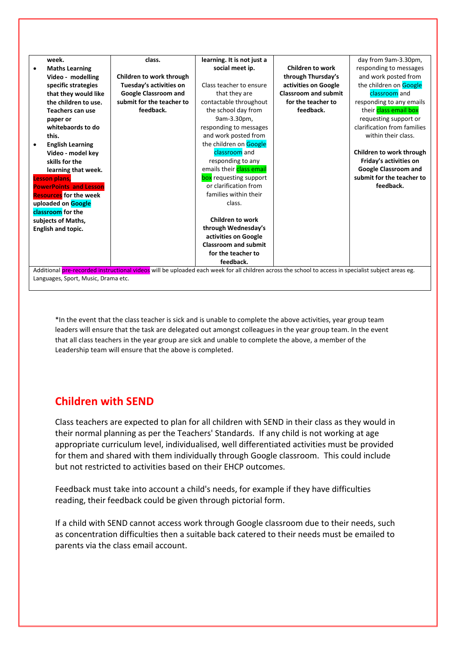|                                                                                                                                                      | week.                               | class.                      | learning. It is not just a  |                             | day from 9am-3.30pm,        |
|------------------------------------------------------------------------------------------------------------------------------------------------------|-------------------------------------|-----------------------------|-----------------------------|-----------------------------|-----------------------------|
|                                                                                                                                                      | <b>Maths Learning</b>               |                             | social meet ip.             | <b>Children to work</b>     | responding to messages      |
|                                                                                                                                                      | Video - modelling                   | Children to work through    |                             | through Thursday's          | and work posted from        |
|                                                                                                                                                      | specific strategies                 | Tuesday's activities on     | Class teacher to ensure     | activities on Google        | the children on Google      |
|                                                                                                                                                      | that they would like                | <b>Google Classroom and</b> | that they are               | <b>Classroom and submit</b> | classroom and               |
|                                                                                                                                                      | the children to use.                | submit for the teacher to   | contactable throughout      | for the teacher to          | responding to any emails    |
|                                                                                                                                                      | Teachers can use                    | feedback.                   | the school day from         | feedback.                   | their class email box       |
|                                                                                                                                                      | paper or                            |                             | 9am-3.30pm,                 |                             | requesting support or       |
|                                                                                                                                                      | whitebaords to do                   |                             | responding to messages      |                             | clarification from families |
|                                                                                                                                                      | this.                               |                             | and work posted from        |                             | within their class.         |
|                                                                                                                                                      | <b>English Learning</b>             |                             | the children on Google      |                             |                             |
|                                                                                                                                                      | Video - model key                   |                             | classroom and               |                             | Children to work through    |
|                                                                                                                                                      | skills for the                      |                             | responding to any           |                             | Friday's activities on      |
|                                                                                                                                                      | learning that week.                 |                             | emails their class email    |                             | Google Classroom and        |
|                                                                                                                                                      | <b>Lesson plans,</b>                |                             | box requesting support      |                             | submit for the teacher to   |
|                                                                                                                                                      | <b>PowerPoints and Lesson</b>       |                             | or clarification from       |                             | feedback.                   |
|                                                                                                                                                      | <b>Resources</b> for the week       |                             | families within their       |                             |                             |
|                                                                                                                                                      | uploaded on Google                  |                             | class.                      |                             |                             |
|                                                                                                                                                      | classroom for the                   |                             |                             |                             |                             |
|                                                                                                                                                      | subjects of Maths,                  |                             | <b>Children to work</b>     |                             |                             |
|                                                                                                                                                      | <b>English and topic.</b>           |                             | through Wednesday's         |                             |                             |
|                                                                                                                                                      |                                     |                             | activities on Google        |                             |                             |
|                                                                                                                                                      |                                     |                             | <b>Classroom and submit</b> |                             |                             |
|                                                                                                                                                      |                                     |                             | for the teacher to          |                             |                             |
|                                                                                                                                                      |                                     |                             | feedback.                   |                             |                             |
| Additional pre-recorded instructional videos will be uploaded each week for all children across the school to access in specialist subject areas eg. |                                     |                             |                             |                             |                             |
|                                                                                                                                                      | Languages, Sport, Music, Drama etc. |                             |                             |                             |                             |

\*In the event that the class teacher is sick and is unable to complete the above activities, year group team leaders will ensure that the task are delegated out amongst colleagues in the year group team. In the event that all class teachers in the year group are sick and unable to complete the above, a member of the Leadership team will ensure that the above is completed.

## **Children with SEND**

Class teachers are expected to plan for all children with SEND in their class as they would in their normal planning as per the Teachers' Standards. If any child is not working at age appropriate curriculum level, individualised, well differentiated activities must be provided for them and shared with them individually through Google classroom. This could include but not restricted to activities based on their EHCP outcomes.

Feedback must take into account a child's needs, for example if they have difficulties reading, their feedback could be given through pictorial form.

If a child with SEND cannot access work through Google classroom due to their needs, such as concentration difficulties then a suitable back catered to their needs must be emailed to parents via the class email account.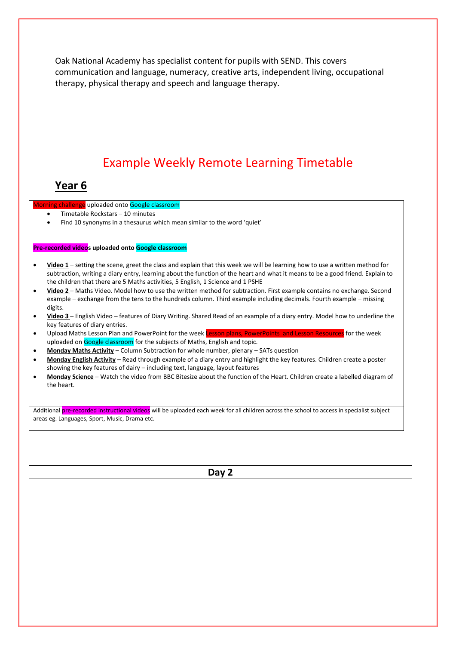Oak National Academy has specialist content for pupils with SEND. This covers communication and language, numeracy, creative arts, independent living, occupational therapy, physical therapy and speech and language therapy.

## Example Weekly Remote Learning Timetable

## **Year 6**

ning challenge uploaded onto Google classroom

- Timetable Rockstars 10 minutes
- Find 10 synonyms in a thesaurus which mean similar to the word 'quiet'

#### **Pre-recorded videos uploaded onto Google classroom**

- **Video 1** setting the scene, greet the class and explain that this week we will be learning how to use a written method for subtraction, writing a diary entry, learning about the function of the heart and what it means to be a good friend. Explain to the children that there are 5 Maths activities, 5 English, 1 Science and 1 PSHE
- **Video 2**  Maths Video. Model how to use the written method for subtraction. First example contains no exchange. Second example – exchange from the tens to the hundreds column. Third example including decimals. Fourth example – missing digits.
- **Video 3**  English Video features of Diary Writing. Shared Read of an example of a diary entry. Model how to underline the key features of diary entries.
- Upload Maths Lesson Plan and PowerPoint for the week Lesson plans, PowerPoints and Lesson Resources for the week uploaded on Google classroom for the subjects of Maths, English and topic.
- **Monday Maths Activity** Column Subtraction for whole number, plenary SATs question
- **Monday English Activity** Read through example of a diary entry and highlight the key features. Children create a poster showing the key features of dairy – including text, language, layout features
- **Monday Science** Watch the video from BBC Bitesize about the function of the Heart. Children create a labelled diagram of the heart.

Additional pre-recorded instructional videos will be uploaded each week for all children across the school to access in specialist subject areas eg. Languages, Sport, Music, Drama etc.

**Day 2**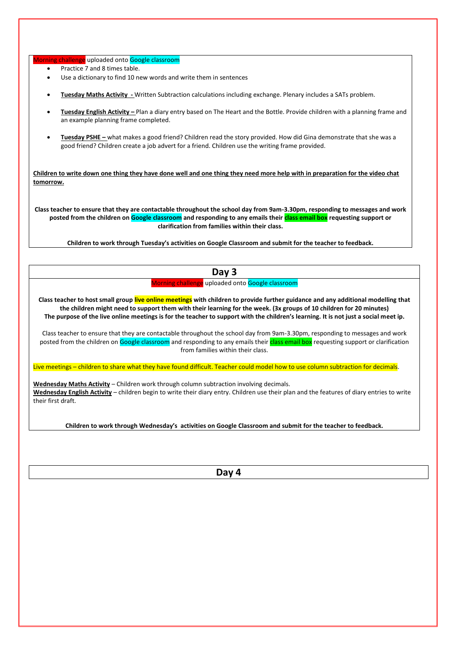orning challenge uploaded onto Google classroom

- Practice 7 and 8 times table.
- Use a dictionary to find 10 new words and write them in sentences
- **Tuesday Maths Activity -** Written Subtraction calculations including exchange. Plenary includes a SATs problem.
- **Tuesday English Activity –** Plan a diary entry based on The Heart and the Bottle. Provide children with a planning frame and an example planning frame completed.
- **Tuesday PSHE –** what makes a good friend? Children read the story provided. How did Gina demonstrate that she was a good friend? Children create a job advert for a friend. Children use the writing frame provided.

**Children to write down one thing they have done well and one thing they need more help with in preparation for the video chat tomorrow.**

**Class teacher to ensure that they are contactable throughout the school day from 9am-3.30pm, responding to messages and work posted from the children on Google classroom and responding to any emails their class email box requesting support or clarification from families within their class.** 

**Children to work through Tuesday's activities on Google Classroom and submit for the teacher to feedback.** 

## **Day 3**

Morning challenge uploaded onto Google classroom

**Class teacher to host small group live online meetings with children to provide further guidance and any additional modelling that the children might need to support them with their learning for the week. (3x groups of 10 children for 20 minutes) The purpose of the live online meetings is for the teacher to support with the children's learning. It is not just a social meet ip.** 

Class teacher to ensure that they are contactable throughout the school day from 9am-3.30pm, responding to messages and work posted from the children on Google classroom and responding to any emails their class email box requesting support or clarification from families within their class.

Live meetings – children to share what they have found difficult. Teacher could model how to use column subtraction for decimals.

**Wednesday Maths Activity** – Children work through column subtraction involving decimals. **Wednesday English Activity** – children begin to write their diary entry. Children use their plan and the features of diary entries to write their first draft.

**Children to work through Wednesday's activities on Google Classroom and submit for the teacher to feedback.**

**Day 4**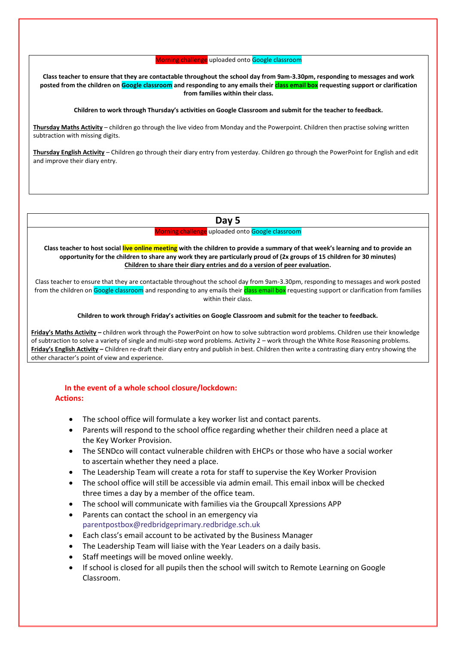Morning challenge uploaded onto Google classroom

**Class teacher to ensure that they are contactable throughout the school day from 9am-3.30pm, responding to messages and work posted from the children on Google classroom and responding to any emails their class email box requesting support or clarification from families within their class.**

#### **Children to work through Thursday's activities on Google Classroom and submit for the teacher to feedback.**

**Thursday Maths Activity** – children go through the live video from Monday and the Powerpoint. Children then practise solving written subtraction with missing digits.

**Thursday English Activity** – Children go through their diary entry from yesterday. Children go through the PowerPoint for English and edit and improve their diary entry.

## **Day 5**

Morning challenge uploaded onto Google classroom

**Class teacher to host social live online meeting with the children to provide a summary of that week's learning and to provide an opportunity for the children to share any work they are particularly proud of (2x groups of 15 children for 30 minutes) Children to share their diary entries and do a version of peer evaluation.**

Class teacher to ensure that they are contactable throughout the school day from 9am-3.30pm, responding to messages and work posted from the children on Google classroom and responding to any emails their class email box requesting support or clarification from families within their class.

#### **Children to work through Friday's activities on Google Classroom and submit for the teacher to feedback.**

**Friday's Maths Activity –** children work through the PowerPoint on how to solve subtraction word problems. Children use their knowledge of subtraction to solve a variety of single and multi-step word problems. Activity 2 – work through the White Rose Reasoning problems. **Friday's English Activity –** Children re-draft their diary entry and publish in best. Children then write a contrasting diary entry showing the other character's point of view and experience.

## **In the event of a whole school closure/lockdown: Actions:**

- The school office will formulate a key worker list and contact parents.
- Parents will respond to the school office regarding whether their children need a place at the Key Worker Provision.
- The SENDco will contact vulnerable children with EHCPs or those who have a social worker to ascertain whether they need a place.
- The Leadership Team will create a rota for staff to supervise the Key Worker Provision
- The school office will still be accessible via admin email. This email inbox will be checked three times a day by a member of the office team.
- The school will communicate with families via the Groupcall Xpressions APP
- Parents can contact the school in an emergency via [parentpostbox@redbridgeprimary.redbridge.sch.uk](mailto:parentpostbox@redbridgeprimary.redbridge.sch.uk)
- Each class's email account to be activated by the Business Manager
- The Leadership Team will liaise with the Year Leaders on a daily basis.
- Staff meetings will be moved online weekly.
- If school is closed for all pupils then the school will switch to Remote Learning on Google Classroom.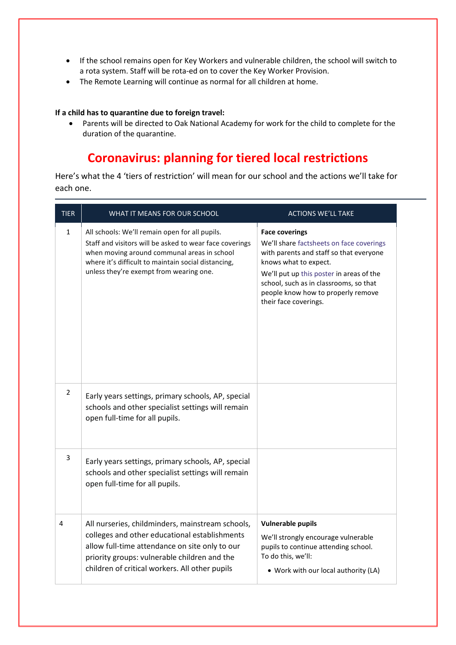- If the school remains open for Key Workers and vulnerable children, the school will switch to a rota system. Staff will be rota-ed on to cover the Key Worker Provision.
- The Remote Learning will continue as normal for all children at home.

## **If a child has to quarantine due to foreign travel:**

 Parents will be directed to Oak National Academy for work for the child to complete for the duration of the quarantine.

## **Coronavirus: planning for tiered local restrictions**

Here's what the 4 'tiers of restriction' will mean for our school and the actions we'll take for each one.

| <b>TIER</b>  | WHAT IT MEANS FOR OUR SCHOOL                                                                                                                                                                                                                               | <b>ACTIONS WE'LL TAKE</b>                                                                                                                                                                                                                                                                  |
|--------------|------------------------------------------------------------------------------------------------------------------------------------------------------------------------------------------------------------------------------------------------------------|--------------------------------------------------------------------------------------------------------------------------------------------------------------------------------------------------------------------------------------------------------------------------------------------|
| $\mathbf{1}$ | All schools: We'll remain open for all pupils.<br>Staff and visitors will be asked to wear face coverings<br>when moving around communal areas in school<br>where it's difficult to maintain social distancing,<br>unless they're exempt from wearing one. | <b>Face coverings</b><br>We'll share factsheets on face coverings<br>with parents and staff so that everyone<br>knows what to expect.<br>We'll put up this poster in areas of the<br>school, such as in classrooms, so that<br>people know how to properly remove<br>their face coverings. |
| 2            | Early years settings, primary schools, AP, special<br>schools and other specialist settings will remain<br>open full-time for all pupils.                                                                                                                  |                                                                                                                                                                                                                                                                                            |
| 3            | Early years settings, primary schools, AP, special<br>schools and other specialist settings will remain<br>open full-time for all pupils.                                                                                                                  |                                                                                                                                                                                                                                                                                            |
| 4            | All nurseries, childminders, mainstream schools,<br>colleges and other educational establishments<br>allow full-time attendance on site only to our<br>priority groups: vulnerable children and the<br>children of critical workers. All other pupils      | <b>Vulnerable pupils</b><br>We'll strongly encourage vulnerable<br>pupils to continue attending school.<br>To do this, we'll:<br>• Work with our local authority (LA)                                                                                                                      |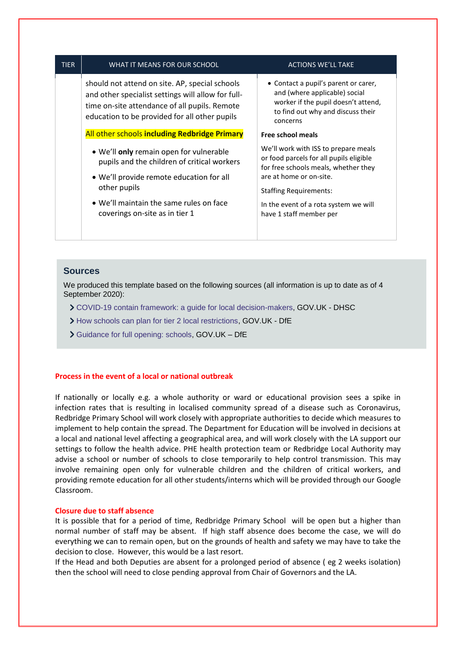| <b>TIER</b>                              | WHAT IT MEANS FOR OUR SCHOOL                                                                                                                                                                           | <b>ACTIONS WE'LL TAKE</b>                                                                                                                                     |  |
|------------------------------------------|--------------------------------------------------------------------------------------------------------------------------------------------------------------------------------------------------------|---------------------------------------------------------------------------------------------------------------------------------------------------------------|--|
|                                          | should not attend on site. AP, special schools<br>and other specialist settings will allow for full-<br>time on-site attendance of all pupils. Remote<br>education to be provided for all other pupils | • Contact a pupil's parent or carer,<br>and (where applicable) social<br>worker if the pupil doesn't attend,<br>to find out why and discuss their<br>concerns |  |
|                                          | All other schools including Redbridge Primary                                                                                                                                                          | <b>Free school meals</b>                                                                                                                                      |  |
|                                          | • We'll only remain open for vulnerable<br>pupils and the children of critical workers                                                                                                                 | We'll work with ISS to prepare meals<br>or food parcels for all pupils eligible<br>for free schools meals, whether they                                       |  |
| • We'll provide remote education for all |                                                                                                                                                                                                        | are at home or on-site.                                                                                                                                       |  |
|                                          | other pupils                                                                                                                                                                                           | <b>Staffing Requirements:</b>                                                                                                                                 |  |
|                                          | • We'll maintain the same rules on face<br>coverings on-site as in tier 1                                                                                                                              | In the event of a rota system we will<br>have 1 staff member per                                                                                              |  |
|                                          |                                                                                                                                                                                                        |                                                                                                                                                               |  |

## **Sources**

We produced this template based on the following sources (all information is up to date as of 4 September 2020):

- [COVID-19 contain framework: a guide for local decision-makers,](https://www.gov.uk/government/publications/containing-and-managing-local-coronavirus-covid-19-outbreaks/covid-19-contain-framework-a-guide-for-local-decision-makers#annex-3-tiers-of-national-restriction) GOV.UK DHSC
- [How schools can plan for tier 2 local restrictions,](https://www.gov.uk/government/publications/how-schools-can-plan-for-tier-2-local-restrictions) GOV.UK DfE
- [Guidance for full opening: schools,](https://www.gov.uk/government/publications/actions-for-schools-during-the-coronavirus-outbreak/guidance-for-full-opening-schools) GOV.UK DfE

## **Process in the event of a local or national outbreak**

If nationally or locally e.g. a whole authority or ward or educational provision sees a spike in infection rates that is resulting in localised community spread of a disease such as Coronavirus, Redbridge Primary School will work closely with appropriate authorities to decide which measures to implement to help contain the spread. The Department for Education will be involved in decisions at a local and national level affecting a geographical area, and will work closely with the LA support our settings to follow the health advice. PHE health protection team or Redbridge Local Authority may advise a school or number of schools to close temporarily to help control transmission. This may involve remaining open only for vulnerable children and the children of critical workers, and providing remote education for all other students/interns which will be provided through our Google Classroom.

## **Closure due to staff absence**

It is possible that for a period of time, Redbridge Primary School will be open but a higher than normal number of staff may be absent. If high staff absence does become the case, we will do everything we can to remain open, but on the grounds of health and safety we may have to take the decision to close. However, this would be a last resort.

If the Head and both Deputies are absent for a prolonged period of absence ( eg 2 weeks isolation) then the school will need to close pending approval from Chair of Governors and the LA.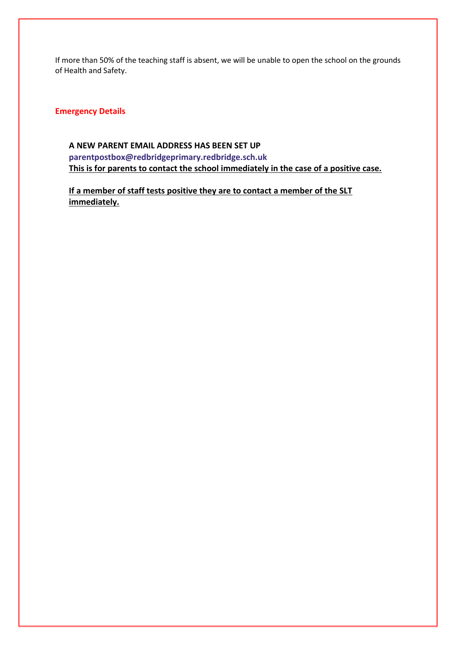If more than 50% of the teaching staff is absent, we will be unable to open the school on the grounds of Health and Safety.

## **Emergency Details**

## **A NEW PARENT EMAIL ADDRESS HAS BEEN SET UP [parentpostbox@redbridgeprimary.redbridge.sch.uk](mailto:parentpostbox@redbridgeprimary.redbridge.sch.uk) This is for parents to contact the school immediately in the case of a positive case.**

**If a member of staff tests positive they are to contact a member of the SLT immediately.**